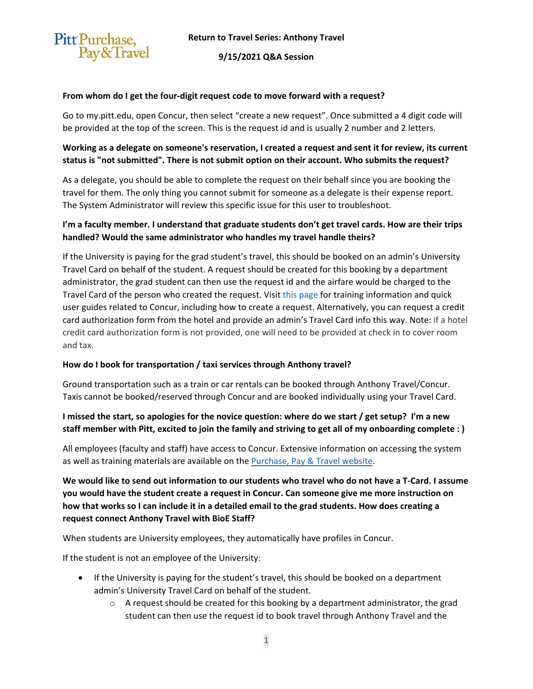

**9/15/2021 Q&A Session**

#### **From whom do I get the four-digit request code to move forward with a request?**

Go to my.pitt.edu, open Concur, then select "create a new request". Once submitted a 4 digit code will be provided at the top of the screen. This is the request id and is usually 2 number and 2 letters.

# **Working as a delegate on someone's reservation, I created a request and sent it for review, its current status is "not submitted". There is not submit option on their account. Who submits the request?**

As a delegate, you should be able to complete the request on their behalf since you are booking the travel for them. The only thing you cannot submit for someone as a delegate is their expense report. The System Administrator will review this specific issue for this user to troubleshoot.

### **I'm a faculty member. I understand that graduate students don't get travel cards. How are their trips handled? Would the same administrator who handles my travel handle theirs?**

If the University is paying for the grad student's travel, this should be booked on an admin's University Travel Card on behalf of the student. A request should be created for this booking by a department administrator, the grad student can then use the request id and the airfare would be charged to the Travel Card of the person who created the request. Visit this page for training information and quick user guides related to Concur, including how to create a request. Alternatively, you can request a credit card authorization form from the hotel and provide an admin's Travel Card info this way. Note: if a hotel credit card authorization form is not provided, one will need to be provided at check in to cover room and tax.

#### **How do I book for transportation / taxi services through Anthony travel?**

Ground transportation such as a train or car rentals can be booked through Anthony Travel/Concur. Taxis cannot be booked/reserved through Concur and are booked individually using your Travel Card.

# **I missed the start, so apologies for the novice question: where do we start / get setup? I'm a new staff member with Pitt, excited to join the family and striving to get all of my onboarding complete : )**

All employees (faculty and staff) have access to Concur. Extensive information on accessing the system as well as training materials are available on the [Purchase, Pay & Travel website.](https://www.ppt.pitt.edu/help-training/system-access-training) 

**We would like to send out information to our students who travel who do not have a T-Card. I assume you would have the student create a request in Concur. Can someone give me more instruction on how that works so I can include it in a detailed email to the grad students. How does creating a request connect Anthony Travel with BioE Staff?**

When students are University employees, they automatically have profiles in Concur.

If the student is not an employee of the University:

- If the University is paying for the student's travel, this should be booked on a department admin's University Travel Card on behalf of the student.
	- $\circ$  A request should be created for this booking by a department administrator, the grad student can then use the request id to book travel through Anthony Travel and the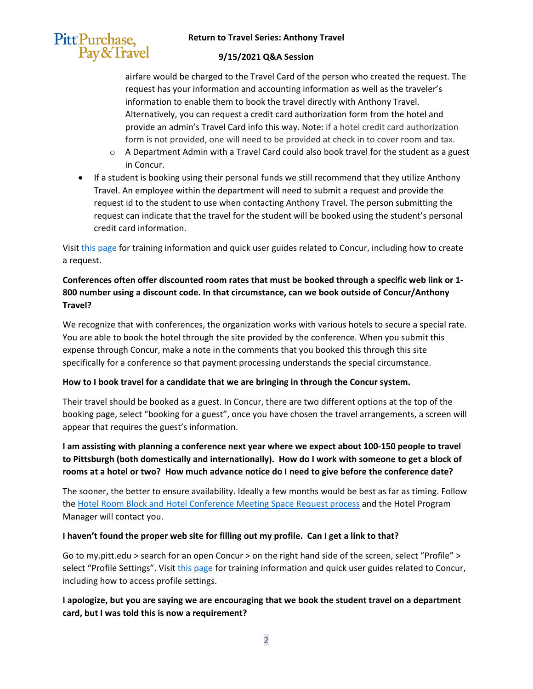#### **Return to Travel Series: Anthony Travel**



#### **9/15/2021 Q&A Session**

airfare would be charged to the Travel Card of the person who created the request. The request has your information and accounting information as well as the traveler's information to enable them to book the travel directly with Anthony Travel. Alternatively, you can request a credit card authorization form from the hotel and provide an admin's Travel Card info this way. Note: if a hotel credit card authorization form is not provided, one will need to be provided at check in to cover room and tax.

- o A Department Admin with a Travel Card could also book travel for the student as a guest in Concur.
- If a student is booking using their personal funds we still recommend that they utilize Anthony Travel. An employee within the department will need to submit a request and provide the request id to the student to use when contacting Anthony Travel. The person submitting the request can indicate that the travel for the student will be booked using the student's personal credit card information.

Visit this page for training information and quick user guides related to Concur, including how to create a request.

# **Conferences often offer discounted room rates that must be booked through a specific web link or 1- 800 number using a discount code. In that circumstance, can we book outside of Concur/Anthony Travel?**

We recognize that with conferences, the organization works with various hotels to secure a special rate. You are able to book the hotel through the site provided by the conference. When you submit this expense through Concur, make a note in the comments that you booked this through this site specifically for a conference so that payment processing understands the special circumstance.

#### **How to I book travel for a candidate that we are bringing in through the Concur system.**

Their travel should be booked as a guest. In Concur, there are two different options at the top of the booking page, select "booking for a guest", once you have chosen the travel arrangements, a screen will appear that requires the guest's information.

**I am assisting with planning a conference next year where we expect about 100-150 people to travel to Pittsburgh (both domestically and internationally). How do I work with someone to get a block of rooms at a hotel or two? How much advance notice do I need to give before the conference date?**

The sooner, the better to ensure availability. Ideally a few months would be best as far as timing. Follow the [Hotel Room Block and Hotel Conference Meeting Space Request process](https://www.ppt.pitt.edu/sites/default/files/hotelroomblockandhotelconferencemeetingspacerequestprocess.pdf) and the Hotel Program Manager will contact you.

# **I haven't found the proper web site for filling out my profile. Can I get a link to that?**

Go to my.pitt.edu > search for an open Concur > on the right hand side of the screen, select "Profile" > select "Profile Settings". Visit this page for training information and quick user guides related to Concur, including how to access profile settings.

# **I apologize, but you are saying we are encouraging that we book the student travel on a department card, but I was told this is now a requirement?**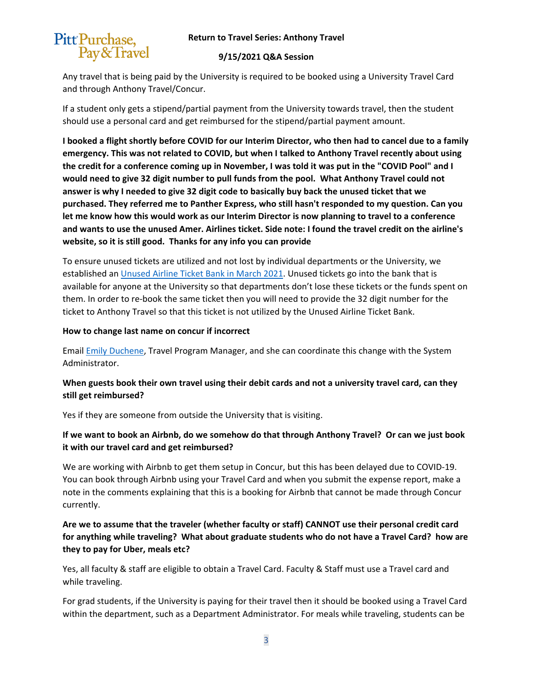

#### **9/15/2021 Q&A Session**

Any travel that is being paid by the University is required to be booked using a University Travel Card and through Anthony Travel/Concur.

If a student only gets a stipend/partial payment from the University towards travel, then the student should use a personal card and get reimbursed for the stipend/partial payment amount.

**I booked a flight shortly before COVID for our Interim Director, who then had to cancel due to a family emergency. This was not related to COVID, but when I talked to Anthony Travel recently about using the credit for a conference coming up in November, I was told it was put in the "COVID Pool" and I would need to give 32 digit number to pull funds from the pool. What Anthony Travel could not answer is why I needed to give 32 digit code to basically buy back the unused ticket that we purchased. They referred me to Panther Express, who still hasn't responded to my question. Can you let me know how this would work as our Interim Director is now planning to travel to a conference and wants to use the unused Amer. Airlines ticket. Side note: I found the travel credit on the airline's website, so it is still good. Thanks for any info you can provide**

To ensure unused tickets are utilized and not lost by individual departments or the University, we established an [Unused Airline Ticket Bank in March 2021.](https://www.ppt.pitt.edu/news/unused-airline-ticket-bank-travel-reminders) Unused tickets go into the bank that is available for anyone at the University so that departments don't lose these tickets or the funds spent on them. In order to re-book the same ticket then you will need to provide the 32 digit number for the ticket to Anthony Travel so that this ticket is not utilized by the Unused Airline Ticket Bank.

#### **How to change last name on concur if incorrect**

Email [Emily Duchene,](mailto:educhene@cfo.pitt.edu) Travel Program Manager, and she can coordinate this change with the System Administrator.

# **When guests book their own travel using their debit cards and not a university travel card, can they still get reimbursed?**

Yes if they are someone from outside the University that is visiting.

# **If we want to book an Airbnb, do we somehow do that through Anthony Travel? Or can we just book it with our travel card and get reimbursed?**

We are working with Airbnb to get them setup in Concur, but this has been delayed due to COVID-19. You can book through Airbnb using your Travel Card and when you submit the expense report, make a note in the comments explaining that this is a booking for Airbnb that cannot be made through Concur currently.

# **Are we to assume that the traveler (whether faculty or staff) CANNOT use their personal credit card for anything while traveling? What about graduate students who do not have a Travel Card? how are they to pay for Uber, meals etc?**

Yes, all faculty & staff are eligible to obtain a Travel Card. Faculty & Staff must use a Travel card and while traveling.

For grad students, if the University is paying for their travel then it should be booked using a Travel Card within the department, such as a Department Administrator. For meals while traveling, students can be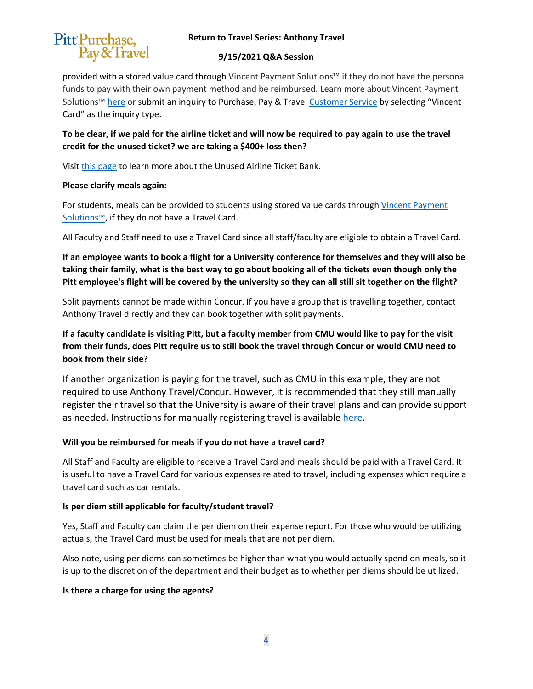# Pitt Purchase, Pay&Travel

#### **Return to Travel Series: Anthony Travel**

#### **9/15/2021 Q&A Session**

provided with a stored value card through Vincent Payment Solutions™ if they do not have the personal funds to pay with their own payment method and be reimbursed. Learn more about Vincent Payment Solutions™ [here](https://www.ppt.pitt.edu/payments-taxes/payment-methods/vincent-paying-research-participantindividuals) or submit an inquiry to [Purchase, Pay & Travel Customer Service](https://www.ppt.pitt.edu/help-training/contact-us) by selecting "Vincent Card" as the inquiry type.

**To be clear, if we paid for the airline ticket and will now be required to pay again to use the travel credit for the unused ticket? we are taking a \$400+ loss then?**

Visit [this page](https://www.ppt.pitt.edu/news/unused-airline-ticket-bank-travel-reminders) to learn more about the Unused Airline Ticket Bank.

#### **Please clarify meals again:**

For students, meals can be provided to students using stored value cards through [Vincent Payment](https://www.ppt.pitt.edu/payments-taxes/payment-methods/vincent-paying-research-participantindividuals)  [Solutions™,](https://www.ppt.pitt.edu/payments-taxes/payment-methods/vincent-paying-research-participantindividuals) if they do not have a Travel Card.

All Faculty and Staff need to use a Travel Card since all staff/faculty are eligible to obtain a Travel Card.

**If an employee wants to book a flight for a University conference for themselves and they will also be taking their family, what is the best way to go about booking all of the tickets even though only the Pitt employee's flight will be covered by the university so they can all still sit together on the flight?**

Split payments cannot be made within Concur. If you have a group that is travelling together, contact Anthony Travel directly and they can book together with split payments.

**If a faculty candidate is visiting Pitt, but a faculty member from CMU would like to pay for the visit from their funds, does Pitt require us to still book the travel through Concur or would CMU need to book from their side?**

If another organization is paying for the travel, such as CMU in this example, they are not required to use Anthony Travel/Concur. However, it is recommended that they still manually register their travel so that the University is aware of their travel plans and can provide support as needed. Instructions for manually registering travel is available here.

# **Will you be reimbursed for meals if you do not have a travel card?**

All Staff and Faculty are eligible to receive a Travel Card and meals should be paid with a Travel Card. It is useful to have a Travel Card for various expenses related to travel, including expenses which require a travel card such as car rentals.

# **Is per diem still applicable for faculty/student travel?**

Yes, Staff and Faculty can claim the per diem on their expense report. For those who would be utilizing actuals, the Travel Card must be used for meals that are not per diem.

Also note, using per diems can sometimes be higher than what you would actually spend on meals, so it is up to the discretion of the department and their budget as to whether per diems should be utilized.

# **Is there a charge for using the agents?**